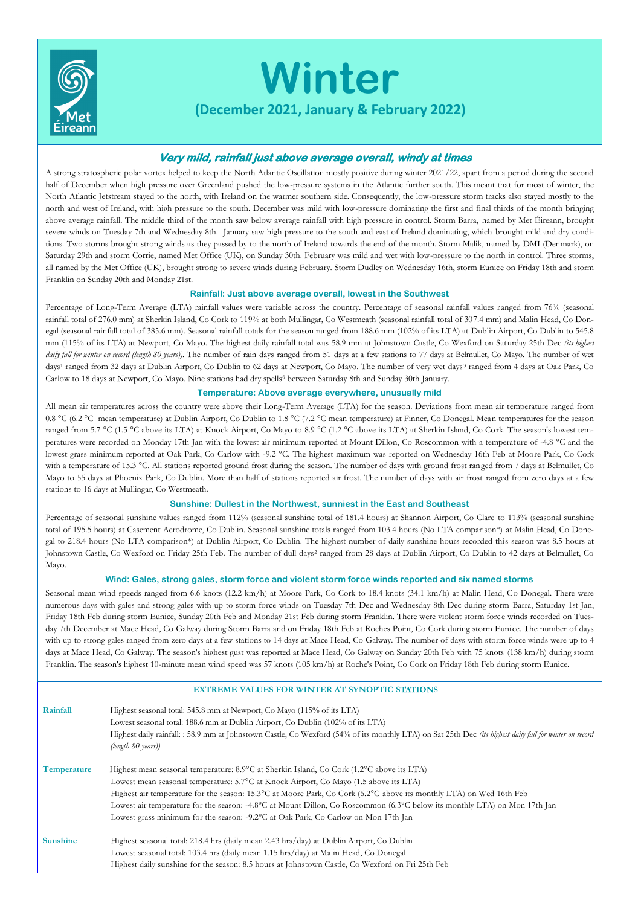

# **Winter**

**(December 2021, January & February 2022)** 

# **Very mild, rainfall just above average overall, windy at times**

A strong stratospheric polar vortex helped to keep the North Atlantic Oscillation mostly positive during winter 2021/22, apart from a period during the second half of December when high pressure over Greenland pushed the low-pressure systems in the Atlantic further south. This meant that for most of winter, the North Atlantic Jetstream stayed to the north, with Ireland on the warmer southern side. Consequently, the low-pressure storm tracks also stayed mostly to the north and west of Ireland, with high pressure to the south. December was mild with low-pressure dominating the first and final thirds of the month bringing above average rainfall. The middle third of the month saw below average rainfall with high pressure in control. Storm Barra, named by Met Éireann, brought severe winds on Tuesday 7th and Wednesday 8th. January saw high pressure to the south and east of Ireland dominating, which brought mild and dry conditions. Two storms brought strong winds as they passed by to the north of Ireland towards the end of the month. Storm Malik, named by DMI (Denmark), on Saturday 29th and storm Corrie, named Met Office (UK), on Sunday 30th. February was mild and wet with low-pressure to the north in control. Three storms, all named by the Met Office (UK), brought strong to severe winds during February. Storm Dudley on Wednesday 16th, storm Eunice on Friday 18th and storm Franklin on Sunday 20th and Monday 21st.

## **Rainfall: Just above average overall, lowest in the Southwest**

Percentage of Long-Term Average (LTA) rainfall values were variable across the country. Percentage of seasonal rainfall values ranged from 76% (seasonal rainfall total of 276.0 mm) at Sherkin Island, Co Cork to 119% at both Mullingar, Co Westmeath (seasonal rainfall total of 307.4 mm) and Malin Head, Co Donegal (seasonal rainfall total of 385.6 mm). Seasonal rainfall totals for the season ranged from 188.6 mm (102% of its LTA) at Dublin Airport, Co Dublin to 545.8 mm (115% of its LTA) at Newport, Co Mayo. The highest daily rainfall total was 58.9 mm at Johnstown Castle, Co Wexford on Saturday 25th Dec *(its highest daily fall for winter on record (length 80 years)).* The number of rain days ranged from 51 days at a few stations to 77 days at Belmullet, Co Mayo. The number of wet days<sup>1</sup> ranged from 32 days at Dublin Airport, Co Dublin to 62 days at Newport, Co Mayo. The number of very wet days <sup>3</sup> ranged from 4 days at Oak Park, Co Carlow to 18 days at Newport, Co Mayo. Nine stations had dry spells<sup>6</sup> between Saturday 8th and Sunday 30th January.

### **Temperature: Above average everywhere, unusually mild**

All mean air temperatures across the country were above their Long-Term Average (LTA) for the season. Deviations from mean air temperature ranged from 0.8 °C (6.2 °C mean temperature) at Dublin Airport, Co Dublin to 1.8 °C (7.2 °C mean temperature) at Finner, Co Donegal. Mean temperatures for the season ranged from 5.7 °C (1.5 °C above its LTA) at Knock Airport, Co Mayo to 8.9 °C (1.2 °C above its LTA) at Sherkin Island, Co Cork. The season's lowest temperatures were recorded on Monday 17th Jan with the lowest air minimum reported at Mount Dillon, Co Roscommon with a temperature of -4.8 °C and the lowest grass minimum reported at Oak Park, Co Carlow with -9.2 °C. The highest maximum was reported on Wednesday 16th Feb at Moore Park, Co Cork with a temperature of 15.3 °C. All stations reported ground frost during the season. The number of days with ground frost ranged from 7 days at Belmullet, Co Mayo to 55 days at Phoenix Park, Co Dublin. More than half of stations reported air frost. The number of days with air frost ranged from zero days at a few stations to 16 days at Mullingar, Co Westmeath.

#### **Sunshine: Dullest in the Northwest, sunniest in the East and Southeast**

Percentage of seasonal sunshine values ranged from 112% (seasonal sunshine total of 181.4 hours) at Shannon Airport, Co Clare to 113% (seasonal sunshine total of 195.5 hours) at Casement Aerodrome, Co Dublin. Seasonal sunshine totals ranged from 103.4 hours (No LTA comparison\*) at Malin Head, Co Donegal to 218.4 hours (No LTA comparison\*) at Dublin Airport, Co Dublin. The highest number of daily sunshine hours recorded this season was 8.5 hours at Johnstown Castle, Co Wexford on Friday 25th Feb. The number of dull days<sup>2</sup> ranged from 28 days at Dublin Airport, Co Dublin to 42 days at Belmullet, Co Mayo.

#### **Wind: Gales, strong gales, storm force and violent storm force winds reported and six named storms**

Seasonal mean wind speeds ranged from 6.6 knots (12.2 km/h) at Moore Park, Co Cork to 18.4 knots (34.1 km/h) at Malin Head, Co Donegal. There were numerous days with gales and strong gales with up to storm force winds on Tuesday 7th Dec and Wednesday 8th Dec during storm Barra, Saturday 1st Jan, Friday 18th Feb during storm Eunice, Sunday 20th Feb and Monday 21st Feb during storm Franklin. There were violent storm forc e winds recorded on Tuesday 7th December at Mace Head, Co Galway during Storm Barra and on Friday 18th Feb at Roches Point, Co Cork during storm Eunice. The number of days with up to strong gales ranged from zero days at a few stations to 14 days at Mace Head, Co Galway. The number of days with storm force winds were up to 4 days at Mace Head, Co Galway. The season's highest gust was reported at Mace Head, Co Galway on Sunday 20th Feb with 75 knots (138 km/h) during storm Franklin. The season's highest 10-minute mean wind speed was 57 knots (105 km/h) at Roche's Point, Co Cork on Friday 18th Feb during storm Eunice.

| <b>EXTREME VALUES FOR WINTER AT SYNOPTIC STATIONS</b> |                                                                                                                                                         |
|-------------------------------------------------------|---------------------------------------------------------------------------------------------------------------------------------------------------------|
| Rainfall                                              | Highest seasonal total: 545.8 mm at Newport, Co Mayo (115% of its LTA)                                                                                  |
|                                                       | Lowest seasonal total: 188.6 mm at Dublin Airport, Co Dublin (102% of its LTA)                                                                          |
|                                                       | Highest daily rainfall: : 58.9 mm at Johnstown Castle, Co Wexford (54% of its monthly LTA) on Sat 25th Dec (its highest daily fall for winter on record |
|                                                       | (length 80 years))                                                                                                                                      |
| <b>Temperature</b>                                    | Highest mean seasonal temperature: 8.9°C at Sherkin Island, Co Cork (1.2°C above its LTA)                                                               |
|                                                       | Lowest mean seasonal temperature: 5.7°C at Knock Airport, Co Mayo (1.5 above its LTA)                                                                   |
|                                                       | Highest air temperature for the season: 15.3°C at Moore Park, Co Cork (6.2°C above its monthly LTA) on Wed 16th Feb                                     |
|                                                       | Lowest air temperature for the season: -4.8°C at Mount Dillon, Co Roscommon (6.3°C below its monthly LTA) on Mon 17th Jan                               |
|                                                       | Lowest grass minimum for the season: -9.2°C at Oak Park, Co Carlow on Mon 17th Jan                                                                      |
| <b>Sunshine</b>                                       | Highest seasonal total: 218.4 hrs (daily mean 2.43 hrs/day) at Dublin Airport, Co Dublin                                                                |
|                                                       | Lowest seasonal total: 103.4 hrs (daily mean 1.15 hrs/day) at Malin Head, Co Donegal                                                                    |
|                                                       | Highest daily sunshine for the season: 8.5 hours at Johnstown Castle, Co Wexford on Fri 25th Feb                                                        |